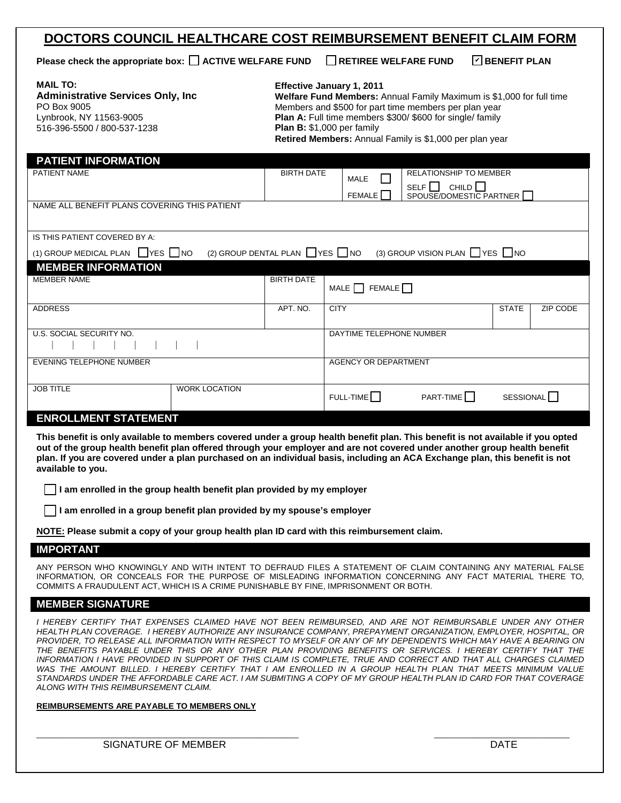## **DOCTORS COUNCIL HEALTHCARE COST REIMBURSEMENT BENEFIT CLAIM FORM**

**Please check the appropriate box:**  $\Box$  **ACTIVE WELFARE FUND**  $\Box$  RETIREE WELFARE FUND

**ØBENEFIT PLAN** 

| <b>MAIL TO:</b>                           |
|-------------------------------------------|
| <b>Administrative Services Only, Inc.</b> |
| PO Box 9005                               |
| Lynbrook, NY 11563-9005                   |
| 516-396-5500 / 800-537-1238               |
|                                           |

# **Effective January 1, 2011**

**Retired Members:** Annual Family is \$1,000 per plan year

| <b>PATIENT INFORMATION</b>                                                                                                                                                                                                                                                                                                                                                                                                                                                                                                                                                                                                                                                                                                                                                                                                                                  |                              |                           |                                                     |              |          |  |
|-------------------------------------------------------------------------------------------------------------------------------------------------------------------------------------------------------------------------------------------------------------------------------------------------------------------------------------------------------------------------------------------------------------------------------------------------------------------------------------------------------------------------------------------------------------------------------------------------------------------------------------------------------------------------------------------------------------------------------------------------------------------------------------------------------------------------------------------------------------|------------------------------|---------------------------|-----------------------------------------------------|--------------|----------|--|
| PATIENT NAME                                                                                                                                                                                                                                                                                                                                                                                                                                                                                                                                                                                                                                                                                                                                                                                                                                                | <b>BIRTH DATE</b>            | MALE                      | <b>RELATIONSHIP TO MEMBER</b>                       |              |          |  |
|                                                                                                                                                                                                                                                                                                                                                                                                                                                                                                                                                                                                                                                                                                                                                                                                                                                             |                              | <b>FEMALE</b>             | SELF $\Box$ CHILD $\Box$<br>SPOUSE/DOMESTIC PARTNER |              |          |  |
| NAME ALL BENEFIT PLANS COVERING THIS PATIENT                                                                                                                                                                                                                                                                                                                                                                                                                                                                                                                                                                                                                                                                                                                                                                                                                |                              |                           |                                                     |              |          |  |
| IS THIS PATIENT COVERED BY A:                                                                                                                                                                                                                                                                                                                                                                                                                                                                                                                                                                                                                                                                                                                                                                                                                               |                              |                           |                                                     |              |          |  |
| (1) GROUP MEDICAL PLAN IVES INO                                                                                                                                                                                                                                                                                                                                                                                                                                                                                                                                                                                                                                                                                                                                                                                                                             | (2) GROUP DENTAL PLAN YES NO |                           | (3) GROUP VISION PLAN TYES NO                       |              |          |  |
| <b>MEMBER INFORMATION</b>                                                                                                                                                                                                                                                                                                                                                                                                                                                                                                                                                                                                                                                                                                                                                                                                                                   |                              |                           |                                                     |              |          |  |
| <b>MEMBER NAME</b>                                                                                                                                                                                                                                                                                                                                                                                                                                                                                                                                                                                                                                                                                                                                                                                                                                          | <b>BIRTH DATE</b>            | MALE $\Box$ FEMALE $\Box$ |                                                     |              |          |  |
| <b>ADDRESS</b>                                                                                                                                                                                                                                                                                                                                                                                                                                                                                                                                                                                                                                                                                                                                                                                                                                              | APT. NO.                     | <b>CITY</b>               |                                                     | <b>STATE</b> | ZIP CODE |  |
| U.S. SOCIAL SECURITY NO.                                                                                                                                                                                                                                                                                                                                                                                                                                                                                                                                                                                                                                                                                                                                                                                                                                    | DAYTIME TELEPHONE NUMBER     |                           |                                                     |              |          |  |
| <b>EVENING TELEPHONE NUMBER</b>                                                                                                                                                                                                                                                                                                                                                                                                                                                                                                                                                                                                                                                                                                                                                                                                                             | <b>AGENCY OR DEPARTMENT</b>  |                           |                                                     |              |          |  |
| <b>JOB TITLE</b><br><b>WORK LOCATION</b>                                                                                                                                                                                                                                                                                                                                                                                                                                                                                                                                                                                                                                                                                                                                                                                                                    |                              | $FULL-TIME$               | $PART-TIME$<br>SESSIONAL <sup>1</sup>               |              |          |  |
| <b>ENROLLMENT STATEMENT</b>                                                                                                                                                                                                                                                                                                                                                                                                                                                                                                                                                                                                                                                                                                                                                                                                                                 |                              |                           |                                                     |              |          |  |
| This benefit is only available to members covered under a group health benefit plan. This benefit is not available if you opted<br>out of the group health benefit plan offered through your employer and are not covered under another group health benefit<br>plan. If you are covered under a plan purchased on an individual basis, including an ACA Exchange plan, this benefit is not<br>available to you.                                                                                                                                                                                                                                                                                                                                                                                                                                            |                              |                           |                                                     |              |          |  |
| I am enrolled in the group health benefit plan provided by my employer                                                                                                                                                                                                                                                                                                                                                                                                                                                                                                                                                                                                                                                                                                                                                                                      |                              |                           |                                                     |              |          |  |
| I am enrolled in a group benefit plan provided by my spouse's employer                                                                                                                                                                                                                                                                                                                                                                                                                                                                                                                                                                                                                                                                                                                                                                                      |                              |                           |                                                     |              |          |  |
| NOTE: Please submit a copy of your group health plan ID card with this reimbursement claim.                                                                                                                                                                                                                                                                                                                                                                                                                                                                                                                                                                                                                                                                                                                                                                 |                              |                           |                                                     |              |          |  |
| <b>IMPORTANT</b>                                                                                                                                                                                                                                                                                                                                                                                                                                                                                                                                                                                                                                                                                                                                                                                                                                            |                              |                           |                                                     |              |          |  |
| ANY PERSON WHO KNOWINGLY AND WITH INTENT TO DEFRAUD FILES A STATEMENT OF CLAIM CONTAINING ANY MATERIAL FALSE<br>INFORMATION, OR CONCEALS FOR THE PURPOSE OF MISLEADING INFORMATION CONCERNING ANY FACT MATERIAL THERE TO,<br>COMMITS A FRAUDULENT ACT, WHICH IS A CRIME PUNISHABLE BY FINE, IMPRISONMENT OR BOTH.                                                                                                                                                                                                                                                                                                                                                                                                                                                                                                                                           |                              |                           |                                                     |              |          |  |
| <b>MEMBER SIGNATURE</b>                                                                                                                                                                                                                                                                                                                                                                                                                                                                                                                                                                                                                                                                                                                                                                                                                                     |                              |                           |                                                     |              |          |  |
| I HEREBY CERTIFY THAT EXPENSES CLAIMED HAVE NOT BEEN REIMBURSED. AND ARE NOT REIMBURSABLE UNDER ANY OTHER<br>HEALTH PLAN COVERAGE. I HEREBY AUTHORIZE ANY INSURANCE COMPANY, PREPAYMENT ORGANIZATION, EMPLOYER, HOSPITAL, OR<br>PROVIDER, TO RELEASE ALL INFORMATION WITH RESPECT TO MYSELF OR ANY OF MY DEPENDENTS WHICH MAY HAVE A BEARING ON<br>THE BENEFITS PAYABLE UNDER THIS OR ANY OTHER PLAN PROVIDING BENEFITS OR SERVICES. I HEREBY CERTIFY THAT THE<br>INFORMATION I HAVE PROVIDED IN SUPPORT OF THIS CLAIM IS COMPLETE. TRUE AND CORRECT AND THAT ALL CHARGES CLAIMED<br>WAS THE AMOUNT BILLED. I HEREBY CERTIFY THAT I AM ENROLLED IN A GROUP HEALTH PLAN THAT MEETS MINIMUM VALUE<br>STANDARDS UNDER THE AFFORDABLE CARE ACT. I AM SUBMITING A COPY OF MY GROUP HEALTH PLAN ID CARD FOR THAT COVERAGE<br>ALONG WITH THIS REIMBURSEMENT CLAIM. |                              |                           |                                                     |              |          |  |

\_\_\_\_\_\_\_\_\_\_\_\_\_\_\_\_\_\_\_\_\_\_\_\_\_\_\_\_\_\_\_\_\_\_\_\_\_\_\_\_\_\_\_\_\_\_\_\_\_\_\_\_\_\_\_\_\_\_\_\_\_\_ \_\_\_\_\_\_\_\_\_\_\_\_\_\_\_\_\_\_\_\_\_\_\_\_\_\_\_\_\_\_\_\_

**REIMBURSEMENTS ARE PAYABLE TO MEMBERS ONLY**

SIGNATURE OF MEMBER **DATE**